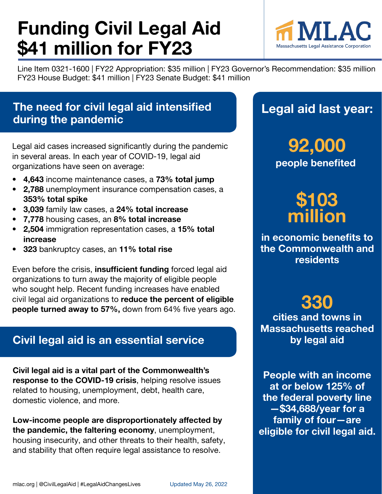# **Funding Civil Legal Aid \$41 million for FY23**



Line Item 0321-1600 | FY22 Appropriation: \$35 million | FY23 Governor's Recommendation: \$35 million FY23 House Budget: \$41 million | FY23 Senate Budget: \$41 million

## **The need for civil legal aid intensified during the pandemic**

Legal aid cases increased significantly during the pandemic in several areas. In each year of COVID-19, legal aid organizations have seen on average:

- **• 4,643** income maintenance cases, a **73% total jump**
- **• 2,788** unemployment insurance compensation cases, a **353% total spike**
- **• 3,039** family law cases, a **24% total increase**
- **• 7,778** housing cases, an **8% total increase**
- **• 2,504** immigration representation cases, a **15% total increase**
- **• 323** bankruptcy cases, an **11% total rise**

Even before the crisis, **insufficient funding** forced legal aid organizations to turn away the majority of eligible people who sought help. Recent funding increases have enabled civil legal aid organizations to **reduce the percent of eligible people turned away to 57%,** down from 64% five years ago.

## **Civil legal aid is an essential service**

**Civil legal aid is a vital part of the Commonwealth's response to the COVID-19 crisis**, helping resolve issues related to housing, unemployment, debt, health care, domestic violence, and more.

**Low-income people are disproportionately affected by the pandemic, the faltering economy**, unemployment, housing insecurity, and other threats to their health, safety, and stability that often require legal assistance to resolve.

## **Legal aid last year:**

**people benefited 92,000**

## **\$103 million**

**in economic benefits to the Commonwealth and residents**

## **330**

**cities and towns in Massachusetts reached by legal aid**

**People with an income at or below 125% of the federal poverty line —\$34,688/year for a family of four—are eligible for civil legal aid.**